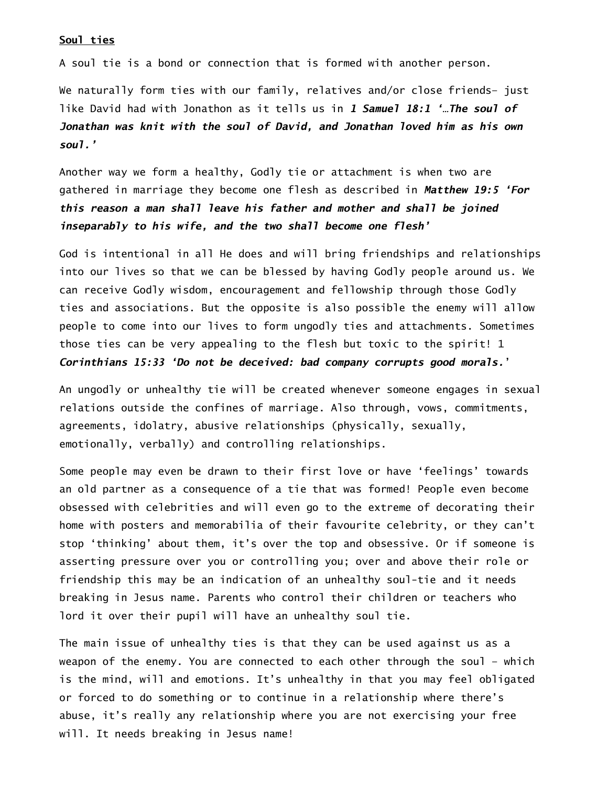## Soul ties

A soul tie is a bond or connection that is formed with another person.

We naturally form ties with our family, relatives and/or close friends– just like David had with Jonathon as it tells us in 1 Samuel 18:1 '…The soul of Jonathan was knit with the soul of David, and Jonathan loved him as his own soul.'

Another way we form a healthy, Godly tie or attachment is when two are gathered in marriage they become one flesh as described in Matthew 19:5 'For this reason a man shall leave his father and mother and shall be joined inseparably to his wife, and the two shall become one flesh'

God is intentional in all He does and will bring friendships and relationships into our lives so that we can be blessed by having Godly people around us. We can receive Godly wisdom, encouragement and fellowship through those Godly ties and associations. But the opposite is also possible the enemy will allow people to come into our lives to form ungodly ties and attachments. Sometimes those ties can be very appealing to the flesh but toxic to the spirit! 1 Corinthians 15:33 'Do not be deceived: bad company corrupts good morals.'

An ungodly or unhealthy tie will be created whenever someone engages in sexual relations outside the confines of marriage. Also through, vows, commitments, agreements, idolatry, abusive relationships (physically, sexually, emotionally, verbally) and controlling relationships.

Some people may even be drawn to their first love or have 'feelings' towards an old partner as a consequence of a tie that was formed! People even become obsessed with celebrities and will even go to the extreme of decorating their home with posters and memorabilia of their favourite celebrity, or they can't stop 'thinking' about them, it's over the top and obsessive. Or if someone is asserting pressure over you or controlling you; over and above their role or friendship this may be an indication of an unhealthy soul-tie and it needs breaking in Jesus name. Parents who control their children or teachers who lord it over their pupil will have an unhealthy soul tie.

The main issue of unhealthy ties is that they can be used against us as a weapon of the enemy. You are connected to each other through the soul – which is the mind, will and emotions. It's unhealthy in that you may feel obligated or forced to do something or to continue in a relationship where there's abuse, it's really any relationship where you are not exercising your free will. It needs breaking in Jesus name!